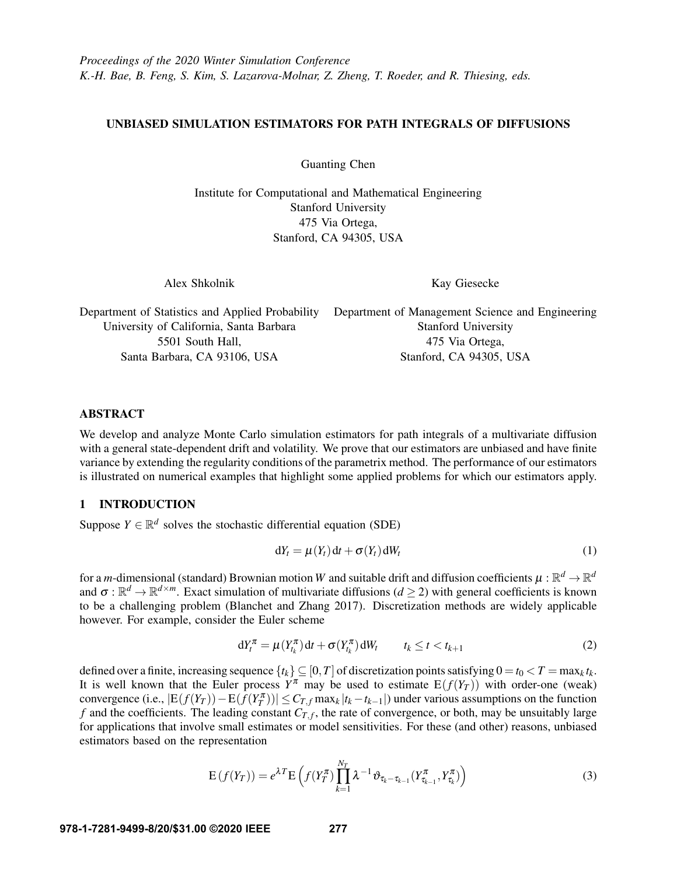## UNBIASED SIMULATION ESTIMATORS FOR PATH INTEGRALS OF DIFFUSIONS

Guanting Chen

Institute for Computational and Mathematical Engineering Stanford University 475 Via Ortega, Stanford, CA 94305, USA

Alex Shkolnik

<span id="page-0-2"></span>Kay Giesecke

Department of Statistics and Applied Probability Department of Management Science and Engineering University of California, Santa Barbara 5501 South Hall, Santa Barbara, CA 93106, USA Stanford University 475 Via Ortega, Stanford, CA 94305, USA

## ABSTRACT

We develop and analyze Monte Carlo simulation estimators for path integrals of a multivariate diffusion with a general state-dependent drift and volatility. We prove that our estimators are unbiased and have finite variance by extending the regularity conditions of the parametrix method. The performance of our estimators is illustrated on numerical examples that highlight some applied problems for which our estimators apply.

# 1 INTRODUCTION

Suppose  $Y \in \mathbb{R}^d$  solves the stochastic differential equation (SDE)

<span id="page-0-1"></span>
$$
dY_t = \mu(Y_t) dt + \sigma(Y_t) dW_t
$$
 (1)

for a *m*-dimensional (standard) Brownian motion  $W$  and suitable drift and diffusion coefficients  $\mu:\mathbb{R}^d\to\mathbb{R}^d$ and  $\sigma : \mathbb{R}^d \to \mathbb{R}^{d \times m}$ . Exact simulation of multivariate diffusions ( $d \ge 2$ ) with general coefficients is known to be a challenging problem [\(Blanchet and Zhang 2017\)](#page-10-0). Discretization methods are widely applicable however. For example, consider the Euler scheme

<span id="page-0-0"></span>
$$
dY_t^{\pi} = \mu(Y_{t_k}^{\pi}) dt + \sigma(Y_{t_k}^{\pi}) dW_t \qquad t_k \le t < t_{k+1}
$$
 (2)

defined over a finite, increasing sequence  $\{t_k\} \subseteq [0, T]$  of discretization points satisfying  $0 = t_0 < T = \max_k t_k$ . It is well known that the Euler process  $Y^{\pi}$  may be used to estimate  $E(f(Y_T))$  with order-one (weak) convergence (i.e.,  $|E(f(Y_T)) - E(f(Y_T^{\pi}))| \leq C_{T,f} \max_k |t_k - t_{k-1}|$ ) under various assumptions on the function *f* and the coefficients. The leading constant  $C_{T,f}$ , the rate of convergence, or both, may be unsuitably large for applications that involve small estimates or model sensitivities. For these (and other) reasons, unbiased estimators based on the representation

$$
E(f(Y_T)) = e^{\lambda T} E\left(f(Y_T^{\pi}) \prod_{k=1}^{N_T} \lambda^{-1} \vartheta_{\tau_k - \tau_{k-1}}(Y_{\tau_{k-1}}^{\pi}, Y_{\tau_k}^{\pi})\right)
$$
(3)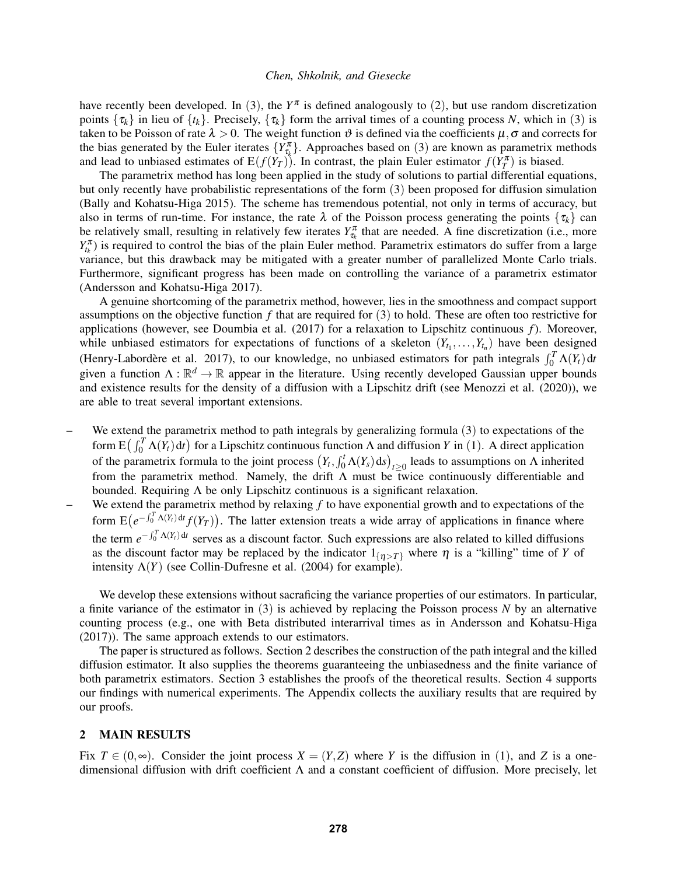have recently been developed. In ([3](#page-0-0)), the  $Y^{\pi}$  is defined analogously to ([2](#page-0-1)), but use random discretization points  $\{\tau_k\}$  in lieu of  $\{t_k\}$ . Precisely,  $\{\tau_k\}$  form the arrival times of a counting process *N*, which in ([3](#page-0-0)) is taken to be Poisson of rate  $\lambda > 0$ . The weight function  $\vartheta$  is defined via the coefficients  $\mu, \sigma$  and corrects for the bias generated by the Euler iterates  $\{Y_{\tau_k}^{\pi}\}\$ . Approaches based on ([3](#page-0-0)) are known as parametrix methods and lead to unbiased estimates of  $E(f(Y_T))$ . In contrast, the plain Euler estimator  $f(Y_T^{\pi})$  is biased.

The parametrix method has long been applied in the study of solutions to partial differential equations, but only recently have probabilistic representations of the form ([3](#page-0-0)) been proposed for diffusion simulation [\(Bally and Kohatsu-Higa 2015\)](#page-10-1). The scheme has tremendous potential, not only in terms of accuracy, but also in terms of run-time. For instance, the rate  $\lambda$  of the Poisson process generating the points  $\{\tau_k\}$  can be relatively small, resulting in relatively few iterates  $Y_{\tau_k}^{\pi}$  that are needed. A fine discretization (i.e., more  $Y_{t_k}^{\pi}$ ) is required to control the bias of the plain Euler method. Parametrix estimators do suffer from a large variance, but this drawback may be mitigated with a greater number of parallelized Monte Carlo trials. Furthermore, significant progress has been made on controlling the variance of a parametrix estimator [\(Andersson and Kohatsu-Higa 2017\)](#page-10-2).

A genuine shortcoming of the parametrix method, however, lies in the smoothness and compact support assumptions on the objective function *f* that are required for ([3](#page-0-0)) to hold. These are often too restrictive for applications (however, see [Doumbia et al. \(2017\)](#page-10-3) for a relaxation to Lipschitz continuous *f*). Moreover, while unbiased estimators for expectations of functions of a skeleton  $(Y_{t_1},...,Y_{t_n})$  have been designed (Henry-Labordère et al. 2017), to our knowledge, no unbiased estimators for path integrals  $\int_0^T \Lambda(Y_t) dt$ given a function  $\Lambda : \mathbb{R}^d \to \mathbb{R}$  appear in the literature. Using recently developed Gaussian upper bounds and existence results for the density of a diffusion with a Lipschitz drift (see [Menozzi et al. \(2020\)\)](#page-11-1), we are able to treat several important extensions.

- We extend the parametrix method to path integrals by generalizing formula  $(3)$  $(3)$  $(3)$  to expectations of the form  $E(\int_0^T \Lambda(Y_t) dt)$  for a Lipschitz continuous function  $\Lambda$  and diffusion *Y* in ([1](#page-0-2)). A direct application of the parametrix formula to the joint process  $(Y_t, \int_0^t \Lambda(Y_s) ds)_{t \geq 0}$  leads to assumptions on  $\Lambda$  inherited from the parametrix method. Namely, the drift  $\Lambda$  must be twice continuously differentiable and bounded. Requiring  $\Lambda$  be only Lipschitz continuous is a significant relaxation.
- We extend the parametrix method by relaxing *f* to have exponential growth and to expectations of the form  $E(e^{-\int_0^T A(Y_t) dt} f(Y_T))$ . The latter extension treats a wide array of applications in finance where the term  $e^{-\int_0^T \Lambda(Y_t) dt}$  serves as a discount factor. Such expressions are also related to killed diffusions as the discount factor may be replaced by the indicator  $1_{\{n>T\}}$  where  $\eta$  is a "killing" time of *Y* of intensity  $\Lambda(Y)$  (see [Collin-Dufresne et al. \(2004\)](#page-10-4) for example).

We develop these extensions without sacraficing the variance properties of our estimators. In particular, a finite variance of the estimator in ([3](#page-0-0)) is achieved by replacing the Poisson process *N* by an alternative counting process (e.g., one with Beta distributed interarrival times as in [Andersson and Kohatsu-Higa](#page-10-2) [\(2017\)\)](#page-10-2). The same approach extends to our estimators.

The paper is structured as follows. Section [2](#page-1-0) describes the construction of the path integral and the killed diffusion estimator. It also supplies the theorems guaranteeing the unbiasedness and the finite variance of both parametrix estimators. Section [3](#page-3-0) establishes the proofs of the theoretical results. Section [4](#page-5-0) supports our findings with numerical experiments. The Appendix collects the auxiliary results that are required by our proofs.

## <span id="page-1-0"></span>2 MAIN RESULTS

Fix  $T \in (0, \infty)$ . Consider the joint process  $X = (Y, Z)$  where *Y* is the diffusion in ([1](#page-0-2)), and *Z* is a onedimensional diffusion with drift coefficient Λ and a constant coefficient of diffusion. More precisely, let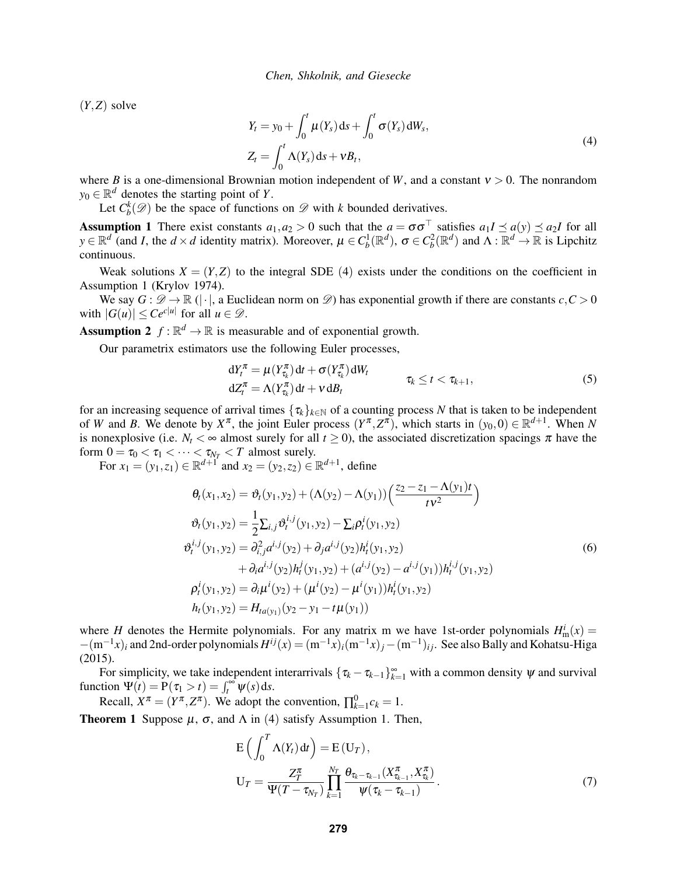(*Y*,*Z*) solve

<span id="page-2-0"></span>
$$
Y_t = y_0 + \int_0^t \mu(Y_s) ds + \int_0^t \sigma(Y_s) dW_s,
$$
  
\n
$$
Z_t = \int_0^t \Lambda(Y_s) ds + vB_t,
$$
\n(4)

where *B* is a one-dimensional Brownian motion independent of *W*, and a constant  $v > 0$ . The nonrandom  $y_0 \in \mathbb{R}^d$  denotes the starting point of *Y*.

Let  $C_b^k(\mathscr{D})$  be the space of functions on  $\mathscr{D}$  with *k* bounded derivatives.

<span id="page-2-1"></span>Assumption 1 There exist constants  $a_1, a_2 > 0$  such that the  $a = \sigma \sigma^{\top}$  satisfies  $a_1 I \preceq a(y) \preceq a_2 I$  for all  $y \in \mathbb{R}^d$  (and *I*, the  $d \times d$  identity matrix). Moreover,  $\mu \in C_b^1(\mathbb{R}^d)$ ,  $\sigma \in C_b^2(\mathbb{R}^d)$  and  $\Lambda : \mathbb{R}^d \to \mathbb{R}$  is Lipchitz continuous.

Weak solutions  $X = (Y, Z)$  to the integral SDE ([4](#page-2-0)) exists under the conditions on the coefficient in Assumption [1](#page-2-1) [\(Krylov 1974\)](#page-11-2).

We say  $G: \mathcal{D} \to \mathbb{R}$  (|·|, a Euclidean norm on  $\mathcal{D}$ ) has exponential growth if there are constants  $c, C > 0$ with  $|G(u)| \le Ce^{c|u|}$  for all  $u \in \mathcal{D}$ .

<span id="page-2-3"></span>**Assumption 2**  $f : \mathbb{R}^d \to \mathbb{R}$  is measurable and of exponential growth.

Our parametrix estimators use the following Euler processes,

<span id="page-2-6"></span>
$$
dY_t^{\pi} = \mu(Y_{\tau_k}^{\pi})dt + \sigma(Y_{\tau_k}^{\pi})dW_t
$$
  
\n
$$
dZ_t^{\pi} = \Lambda(Y_{\tau_k}^{\pi})dt + v dB_t
$$
\n(5)

for an increasing sequence of arrival times  $\{\tau_k\}_{k\in\mathbb{N}}$  of a counting process *N* that is taken to be independent of *W* and *B*. We denote by  $X^{\pi}$ , the joint Euler process  $(Y^{\pi}, Z^{\pi})$ , which starts in  $(y_0, 0) \in \mathbb{R}^{d+1}$ . When *N* is nonexplosive (i.e.  $N_t < \infty$  almost surely for all  $t \ge 0$ ), the associated discretization spacings  $\pi$  have the form  $0 = \tau_0 < \tau_1 < \cdots < \tau_{N_T} < T$  almost surely.

For  $x_1 = (y_1, z_1) \in \mathbb{R}^{d+1}$  and  $x_2 = (y_2, z_2) \in \mathbb{R}^{d+1}$ , define

<span id="page-2-4"></span>
$$
\theta_t(x_1, x_2) = \vartheta_t(y_1, y_2) + (\Lambda(y_2) - \Lambda(y_1)) \left( \frac{z_2 - z_1 - \Lambda(y_1)t}{t v^2} \right)
$$
  
\n
$$
\vartheta_t(y_1, y_2) = \frac{1}{2} \sum_{i,j} \vartheta_t^{i,j}(y_1, y_2) - \sum_i \rho_t^{i}(y_1, y_2)
$$
  
\n
$$
\vartheta_t^{i,j}(y_1, y_2) = \partial_{i,j}^2 a^{i,j}(y_2) + \partial_j a^{i,j}(y_2) h_t^{i}(y_1, y_2)
$$
  
\n
$$
+ \partial_i a^{i,j}(y_2) h_t^{j}(y_1, y_2) + (a^{i,j}(y_2) - a^{i,j}(y_1)) h_t^{i,j}(y_1, y_2)
$$
  
\n
$$
\rho_t^{i}(y_1, y_2) = \partial_i \mu^{i}(y_2) + (\mu^{i}(y_2) - \mu^{i}(y_1)) h_t^{i}(y_1, y_2)
$$
  
\n
$$
h_t(y_1, y_2) = H_{t a(y_1)}(y_2 - y_1 - t \mu(y_1))
$$
\n(9)

where *H* denotes the Hermite polynomials. For any matrix m we have 1st-order polynomials  $H_{\text{m}}^i(x)$  =  $-(m^{-1}x)_i$  and 2nd-order polynomials  $H^{ij}(x) = (m^{-1}x)_i(m^{-1}x)_j - (m^{-1})_{ij}$ . See also [Bally and Kohatsu-Higa](#page-10-1) [\(2015\).](#page-10-1)

For simplicity, we take independent interarrivals  $\{\tau_k - \tau_{k-1}\}_{k=1}^{\infty}$  with a common density  $\psi$  and survival function  $\Psi(t) = P(\tau_1 > t) = \int_t^\infty \psi(s) ds$ .

Recall,  $X^{\pi} = (Y^{\pi}, Z^{\pi})$ . We adopt the convention,  $\prod_{k=1}^{0} c_k = 1$ .

<span id="page-2-5"></span>**Theorem 1** Suppose  $\mu$ ,  $\sigma$ , and  $\Lambda$  in ([4](#page-2-0)) satisfy Assumption [1.](#page-2-1) Then,

<span id="page-2-2"></span>
$$
E\left(\int_0^T \Lambda(Y_t) dt\right) = E(U_T),
$$
  
\n
$$
U_T = \frac{Z_T^{\pi}}{\Psi(T - \tau_{N_T})} \prod_{k=1}^{N_T} \frac{\theta_{\tau_k - \tau_{k-1}}(X_{\tau_{k-1}}^{\pi}, X_{\tau_k}^{\pi})}{\Psi(\tau_k - \tau_{k-1})}.
$$
\n(7)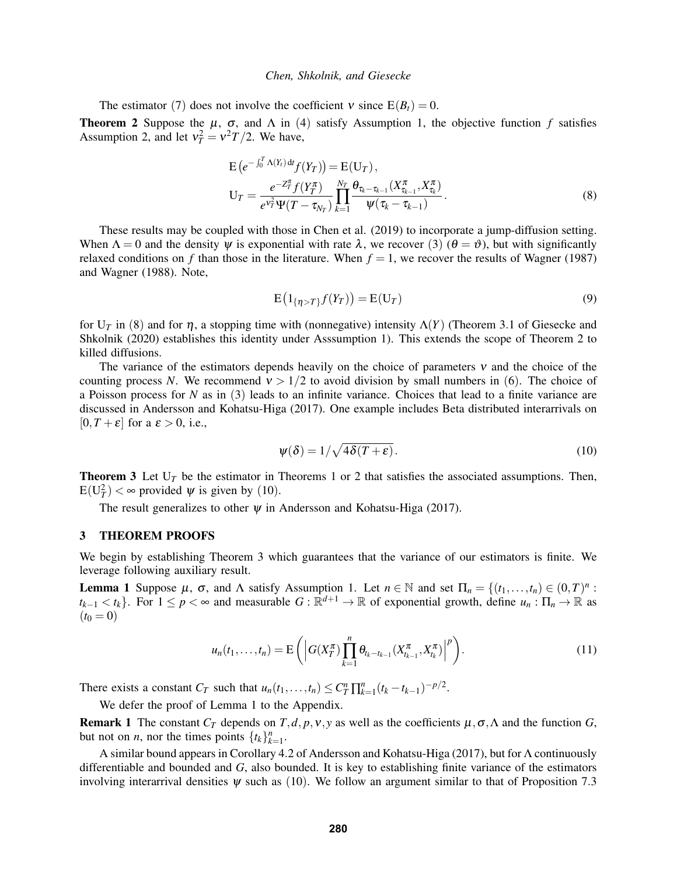The estimator ([7](#page-2-2)) does not involve the coefficient  $v$  since  $E(B_t) = 0$ .

<span id="page-3-2"></span>**Theorem 2** Suppose the  $\mu$ ,  $\sigma$ , and  $\Lambda$  in ([4](#page-2-0)) satisfy Assumption [1,](#page-2-1) the objective function  $f$  satisfies Assumption [2,](#page-2-3) and let  $v_T^2 = v^2 T/2$ . We have,

$$
E\left(e^{-\int_0^T \Lambda(Y_t) dt} f(Y_T)\right) = E(U_T),
$$
  
\n
$$
U_T = \frac{e^{-Z_T^{\pi}} f(Y_T^{\pi})}{e^{\nu_T^2} \Psi(T - \tau_{N_T})} \prod_{k=1}^{N_T} \frac{\theta_{\tau_k - \tau_{k-1}}(X_{\tau_{k-1}}^{\pi}, X_{\tau_k}^{\pi})}{\Psi(\tau_k - \tau_{k-1})}.
$$
\n(8)

These results may be coupled with those in [Chen et al. \(2019\)](#page-10-5) to incorporate a jump-diffusion setting. When  $\Lambda = 0$  and the density  $\psi$  is exponential with rate  $\lambda$ , we recover ([3](#page-0-0)) ( $\theta = \vartheta$ ), but with significantly relaxed conditions on *f* than those in the literature. When  $f = 1$ , we recover the results of [Wagner \(1987\)](#page-11-3) and [Wagner \(1988\).](#page-11-4) Note,

<span id="page-3-1"></span>
$$
E\left(1_{\{\eta>T\}}f(Y_T)\right) = E(U_T) \tag{9}
$$

for U*<sup>T</sup>* in ([8](#page-3-1)) and for η, a stopping time with (nonnegative) intensity Λ(*Y*) (Theorem 3.1 of [Giesecke and](#page-11-5) [Shkolnik \(2020\)](#page-11-5) establishes this identity under Asssumption [1\)](#page-2-1). This extends the scope of Theorem [2](#page-3-2) to killed diffusions.

The variance of the estimators depends heavily on the choice of parameters  $v$  and the choice of the counting process *N*. We recommend  $v > 1/2$  to avoid division by small numbers in ([6](#page-2-4)). The choice of a Poisson process for *N* as in ([3](#page-0-0)) leads to an infinite variance. Choices that lead to a finite variance are discussed in [Andersson and Kohatsu-Higa \(2017\).](#page-10-2) One example includes Beta distributed interarrivals on  $[0, T + \varepsilon]$  for a  $\varepsilon > 0$ , i.e.,

<span id="page-3-3"></span>
$$
\psi(\delta) = 1/\sqrt{4\delta(T+\varepsilon)}.
$$
\n(10)

<span id="page-3-4"></span>**Theorem 3** Let  $U_T$  be the estimator in Theorems [1](#page-2-5) or [2](#page-3-2) that satisfies the associated assumptions. Then,  $E(U_T^2) < \infty$  provided  $\psi$  is given by ([10](#page-3-3)).

The result generalizes to other  $\psi$  in [Andersson and Kohatsu-Higa \(2017\).](#page-10-2)

### <span id="page-3-0"></span>3 THEOREM PROOFS

We begin by establishing Theorem [3](#page-3-4) which guarantees that the variance of our estimators is finite. We leverage following auxiliary result.

<span id="page-3-5"></span>Lemma 1 Suppose  $\mu$ ,  $\sigma$ , and  $\Lambda$  satisfy Assumption [1.](#page-2-1) Let  $n \in \mathbb{N}$  and set  $\Pi_n = \{(t_1, \ldots, t_n) \in (0, T)^n$ :  $t_{k-1} < t_k$ . For  $1 \le p < \infty$  and measurable  $G : \mathbb{R}^{d+1} \to \mathbb{R}$  of exponential growth, define  $u_n : \Pi_n \to \mathbb{R}$  as  $(t_0 = 0)$ 

$$
u_n(t_1,\ldots,t_n) = \mathcal{E}\left(\left|G(X_T^{\pi})\prod_{k=1}^n \theta_{t_k-t_{k-1}}(X_{t_{k-1}}^{\pi},X_{t_k}^{\pi})\right|^p\right).
$$
\n(11)

There exists a constant  $C_T$  such that  $u_n(t_1,\ldots,t_n) \leq C_T^n \prod_{k=1}^n (t_k - t_{k-1})^{-p/2}$ .

We defer the proof of Lemma [1](#page-3-5) to the Appendix.

<span id="page-3-6"></span>**Remark 1** The constant  $C_T$  depends on  $T, d, p, v, y$  as well as the coefficients  $\mu, \sigma, \Lambda$  and the function *G*, but not on *n*, nor the times points  $\{t_k\}_{k=1}^n$ .

A similar bound appears in Corollary 4.2 of [Andersson and Kohatsu-Higa \(2017\),](#page-10-2) but for Λ continuously differentiable and bounded and *G*, also bounded. It is key to establishing finite variance of the estimators involving interarrival densities  $\psi$  such as ([10](#page-3-3)). We follow an argument similar to that of Proposition 7.3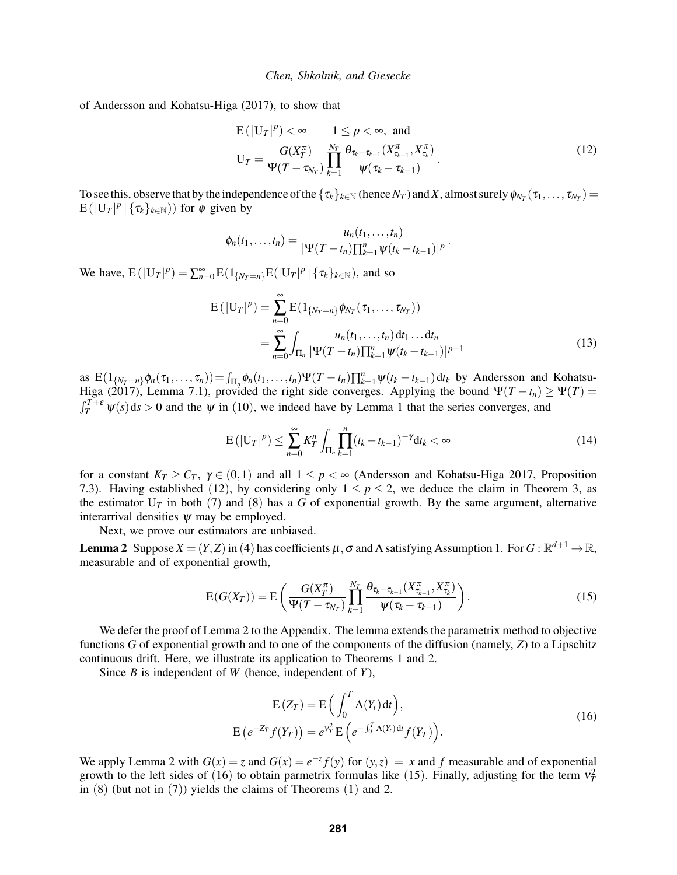of [Andersson and Kohatsu-Higa \(2017\),](#page-10-2) to show that

<span id="page-4-0"></span>
$$
E(|U_T|^p) < \infty \t 1 \le p < \infty, \text{ and}
$$
  
\n
$$
U_T = \frac{G(X_T^{\pi})}{\Psi(T - \tau_{N_T})} \prod_{k=1}^{N_T} \frac{\theta_{\tau_k - \tau_{k-1}}(X_{\tau_{k-1}}^{\pi}, X_{\tau_k}^{\pi})}{\Psi(\tau_k - \tau_{k-1})}.
$$
\n(12)

To see this, observe that by the independence of the  $\{\tau_k\}_{k\in\mathbb{N}}$  (hence  $N_T$ ) and X, almost surely  $\phi_{N_T}(\tau_1,\ldots,\tau_{N_T})=$  $E(|U_T|^p | {\tau_k}_{k \in \mathbb{N}})$  for  $\phi$  given by

<span id="page-4-4"></span>
$$
\phi_n(t_1,\ldots,t_n)=\frac{u_n(t_1,\ldots,t_n)}{|\Psi(T-t_n)\prod_{k=1}^n \psi(t_k-t_{k-1})|^p}.
$$

We have,  $E(|U_T|^p) = \sum_{n=0}^{\infty} E(1_{\{N_T = n\}} E(|U_T|^p | {\tau_k}_{k \in \mathbb{N}}))$ , and so

$$
E(|U_T|^p) = \sum_{n=0}^{\infty} E(1_{\{N_T = n\}} \phi_{N_T}(\tau_1, ..., \tau_{N_T}))
$$
  
= 
$$
\sum_{n=0}^{\infty} \int_{\Pi_n} \frac{u_n(t_1, ..., t_n) dt_1 ... dt_n}{|\Psi(T - t_n)|_{k=1}^n \Psi(t_k - t_{k-1})|^{p-1}}
$$
 (13)

as  $E(1_{\{N_T=n\}}\phi_n(\tau_1,\ldots,\tau_n)) = \int_{\Pi_n} \phi_n(t_1,\ldots,t_n) \Psi(T-t_n) \prod_{k=1}^n \psi(t_k-t_{k-1}) dt_k$  by [Andersson and Kohatsu-](#page-10-2)[Higa \(2017\),](#page-10-2) Lemma 7.1), provided the right side converges. Applying the bound  $\Psi(T - t_n) \ge \Psi(T) =$  $\int_T^{T+\varepsilon} \psi(s) ds > 0$  and the  $\psi$  in ([10](#page-3-3)), we indeed have by Lemma [1](#page-3-5) that the series converges, and

<span id="page-4-5"></span>
$$
E(|U_T|^p) \le \sum_{n=0}^{\infty} K_T^n \int_{\Pi_n} \prod_{k=1}^n (t_k - t_{k-1})^{-\gamma} dt_k < \infty \tag{14}
$$

for a constant  $K_T \geq C_T$ ,  $\gamma \in (0,1)$  and all  $1 \leq p \leq \infty$  [\(Andersson and Kohatsu-Higa 2017,](#page-10-2) Proposition 7.3). Having established ([12](#page-4-0)), by considering only  $1 \le p \le 2$ , we deduce the claim in Theorem [3,](#page-3-4) as the estimator  $U_T$  in both ([7](#page-2-2)) and ([8](#page-3-1)) has a G of exponential growth. By the same argument, alternative interarrival densities  $\psi$  may be employed.

Next, we prove our estimators are unbiased.

<span id="page-4-1"></span>**Lemma 2** Suppose  $X = (Y, Z)$  in ([4](#page-2-0)) has coefficients  $\mu$ ,  $\sigma$  and  $\Lambda$  satisfying Assumption [1.](#page-2-1) For  $G : \mathbb{R}^{d+1} \to \mathbb{R}$ , measurable and of exponential growth,

$$
E(G(X_T)) = E\left(\frac{G(X_T^{\pi})}{\Psi(T - \tau_{N_T})}\prod_{k=1}^{N_T} \frac{\theta_{\tau_k - \tau_{k-1}}(X_{\tau_{k-1}}^{\pi}, X_{\tau_k}^{\pi})}{\Psi(\tau_k - \tau_{k-1})}\right).
$$
(15)

We defer the proof of Lemma [2](#page-4-1) to the Appendix. The lemma extends the parametrix method to objective functions *G* of exponential growth and to one of the components of the diffusion (namely, *Z*) to a Lipschitz continuous drift. Here, we illustrate its application to Theorems [1](#page-2-5) and [2.](#page-3-2)

Since *B* is independent of *W* (hence, independent of *Y*),

<span id="page-4-3"></span><span id="page-4-2"></span>
$$
E(Z_T) = E\left(\int_0^T \Lambda(Y_t) dt\right),
$$
  
\n
$$
E\left(e^{-Z_T} f(Y_T)\right) = e^{\nu_T^2} E\left(e^{-\int_0^T \Lambda(Y_t) dt} f(Y_T)\right).
$$
\n(16)

We apply Lemma [2](#page-4-1) with  $G(x) = z$  and  $G(x) = e^{-z} f(y)$  for  $(y, z) = x$  and f measurable and of exponential growth to the left sides of ([16](#page-4-2)) to obtain parmetrix formulas like ([15](#page-4-3)). Finally, adjusting for the term  $v_T^2$ in  $(8)$  $(8)$  $(8)$  (but not in  $(7)$  $(7)$  $(7)$ ) yields the claims of Theorems  $(1)$  $(1)$  $(1)$  and [2.](#page-3-2)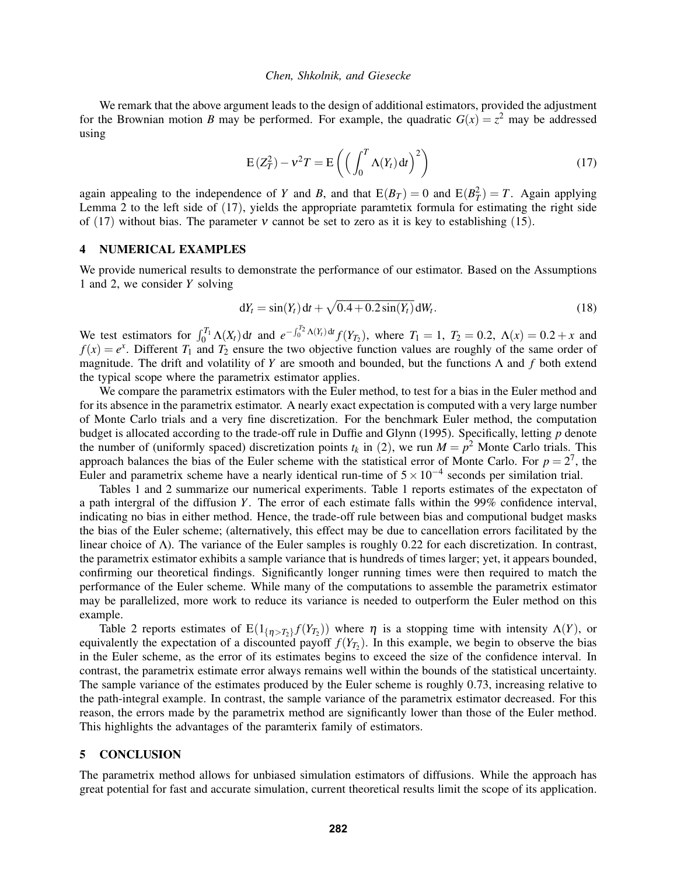We remark that the above argument leads to the design of additional estimators, provided the adjustment for the Brownian motion *B* may be performed. For example, the quadratic  $G(x) = z^2$  may be addressed using

<span id="page-5-1"></span>
$$
E(Z_T^2) - v^2 T = E\left(\left(\int_0^T \Lambda(Y_t) dt\right)^2\right)
$$
\n(17)

again appealing to the independence of *Y* and *B*, and that  $E(B_T) = 0$  and  $E(B_T^2) = T$ . Again applying Lemma [2](#page-4-1) to the left side of ([17](#page-5-1)), yields the appropriate paramtetix formula for estimating the right side of ([17](#page-5-1)) without bias. The parameter v cannot be set to zero as it is key to establishing ([15](#page-4-3)).

# <span id="page-5-0"></span>4 NUMERICAL EXAMPLES

We provide numerical results to demonstrate the performance of our estimator. Based on the Assumptions [1](#page-2-1) and [2,](#page-2-3) we consider *Y* solving

<span id="page-5-2"></span>
$$
dY_t = \sin(Y_t) dt + \sqrt{0.4 + 0.2 \sin(Y_t)} dW_t.
$$
 (18)

We test estimators for  $\int_0^{T_1} \Lambda(X_t) dt$  and  $e^{-\int_0^{T_2} \Lambda(Y_t) dt} f(Y_{T_2})$ , where  $T_1 = 1$ ,  $T_2 = 0.2$ ,  $\Lambda(x) = 0.2 + x$  and  $f(x) = e^x$ . Different  $T_1$  and  $T_2$  ensure the two objective function values are roughly of the same order of magnitude. The drift and volatility of *Y* are smooth and bounded, but the functions Λ and *f* both extend the typical scope where the parametrix estimator applies.

We compare the parametrix estimators with the Euler method, to test for a bias in the Euler method and for its absence in the parametrix estimator. A nearly exact expectation is computed with a very large number of Monte Carlo trials and a very fine discretization. For the benchmark Euler method, the computation budget is allocated according to the trade-off rule in [Duffie and Glynn \(1995\).](#page-10-6) Specifically, letting *p* denote the number of (uniformly spaced) discretization points  $t_k$  in ([2](#page-0-1)), we run  $M = p^2$  Monte Carlo trials. This approach balances the bias of the Euler scheme with the statistical error of Monte Carlo. For  $p = 2<sup>7</sup>$ , the Euler and parametrix scheme have a nearly identical run-time of  $5 \times 10^{-4}$  seconds per similation trial.

Tables [1](#page-6-0) and [2](#page-6-1) summarize our numerical experiments. Table [1](#page-6-0) reports estimates of the expectaton of a path intergral of the diffusion *Y*. The error of each estimate falls within the 99% confidence interval, indicating no bias in either method. Hence, the trade-off rule between bias and computional budget masks the bias of the Euler scheme; (alternatively, this effect may be due to cancellation errors facilitated by the linear choice of Λ). The variance of the Euler samples is roughly 0.22 for each discretization. In contrast, the parametrix estimator exhibits a sample variance that is hundreds of times larger; yet, it appears bounded, confirming our theoretical findings. Significantly longer running times were then required to match the performance of the Euler scheme. While many of the computations to assemble the parametrix estimator may be parallelized, more work to reduce its variance is needed to outperform the Euler method on this example.

Table [2](#page-6-1) reports estimates of  $E(1_{\{\eta>\mathcal{T}_2\}}f(Y_{T_2}))$  where  $\eta$  is a stopping time with intensity  $\Lambda(Y)$ , or equivalently the expectation of a discounted payoff  $f(Y_{T_2})$ . In this example, we begin to observe the bias in the Euler scheme, as the error of its estimates begins to exceed the size of the confidence interval. In contrast, the parametrix estimate error always remains well within the bounds of the statistical uncertainty. The sample variance of the estimates produced by the Euler scheme is roughly 0.73, increasing relative to the path-integral example. In contrast, the sample variance of the parametrix estimator decreased. For this reason, the errors made by the parametrix method are significantly lower than those of the Euler method. This highlights the advantages of the paramterix family of estimators.

### 5 CONCLUSION

The parametrix method allows for unbiased simulation estimators of diffusions. While the approach has great potential for fast and accurate simulation, current theoretical results limit the scope of its application.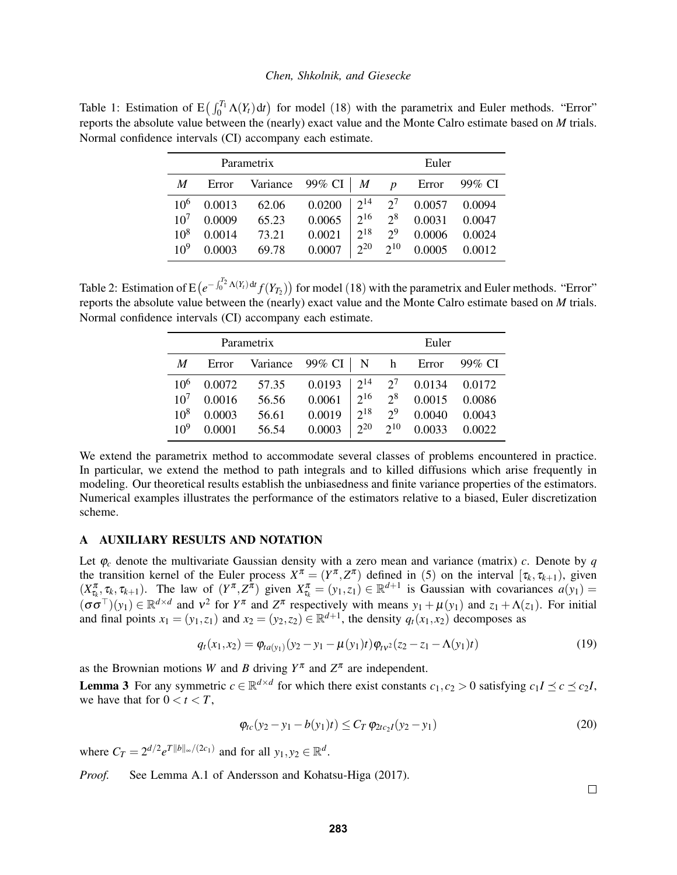<span id="page-6-0"></span>Table 1: Estimation of  $E \left( \int_0^{T_1} \Lambda(Y_t) dt \right)$  for model ([18](#page-5-2)) with the parametrix and Euler methods. "Error" reports the absolute value between the (nearly) exact value and the Monte Calro estimate based on *M* trials. Normal confidence intervals (CI) accompany each estimate.

| Parametrix      |        |          |        |          |                  | Euler  |        |  |
|-----------------|--------|----------|--------|----------|------------------|--------|--------|--|
| M               | Error  | Variance | 99% CI | M        | $\boldsymbol{D}$ | Error  | 99% CI |  |
| 10 <sup>6</sup> | 0.0013 | 62.06    | 0.0200 | $2^{14}$ | $2^7$            | 0.0057 | 0.0094 |  |
| 10 <sup>7</sup> | 0.0009 | 65.23    | 0.0065 | $2^{16}$ | $2^8$            | 0.0031 | 0.0047 |  |
| $10^{8}$        | 0.0014 | 73.21    | 0.0021 | $2^{18}$ | 2 <sup>9</sup>   | 0.0006 | 0.0024 |  |
| $10^{9}$        | 0.0003 | 69.78    | 0.0007 | $2^{20}$ | $2^{10}$         | 0.0005 | 0.0012 |  |

<span id="page-6-1"></span>Table 2: Estimation of  $E(e^{-\int_0^{T_2} \Lambda(Y_t) dt} f(Y_{T_2}))$  for model ([18](#page-5-2)) with the parametrix and Euler methods. "Error" reports the absolute value between the (nearly) exact value and the Monte Calro estimate based on *M* trials. Normal confidence intervals (CI) accompany each estimate.

| Parametrix      |        |          |            |          | Euler          |        |        |  |
|-----------------|--------|----------|------------|----------|----------------|--------|--------|--|
| M               | Error  | Variance | 99% CI   N |          | h              | Error  | 99% CI |  |
| 10 <sup>6</sup> | 0.0072 | 57.35    | 0.0193     | $2^{14}$ | $2^7$          | 0.0134 | 0.0172 |  |
| 10 <sup>7</sup> | 0.0016 | 56.56    | 0.0061     | $2^{16}$ | $2^8$          | 0.0015 | 0.0086 |  |
| $10^{8}$        | 0.0003 | 56.61    | 0.0019     | $2^{18}$ | 2 <sup>9</sup> | 0.0040 | 0.0043 |  |
| $10^{9}$        | 0.0001 | 56.54    | 0.0003     | $2^{20}$ | $2^{10}$       | 0.0033 | 0.0022 |  |

We extend the parametrix method to accommodate several classes of problems encountered in practice. In particular, we extend the method to path integrals and to killed diffusions which arise frequently in modeling. Our theoretical results establish the unbiasedness and finite variance properties of the estimators. Numerical examples illustrates the performance of the estimators relative to a biased, Euler discretization scheme.

# <span id="page-6-3"></span>A AUXILIARY RESULTS AND NOTATION

Let  $\varphi_c$  denote the multivariate Gaussian density with a zero mean and variance (matrix) *c*. Denote by *q* the transition kernel of the Euler process  $X^{\pi} = (Y^{\pi}, Z^{\pi})$  defined in ([5](#page-2-6)) on the interval  $[\tau_k, \tau_{k+1})$ , given  $(X_{\tau_k}^{\pi}, \tau_k, \tau_{k+1})$ . The law of  $(Y^{\pi}, Z^{\hat{\pi}})$  given  $X_{\tau_k}^{\pi} = (y_1, z_1) \in \mathbb{R}^{d+1}$  is Gaussian with covariances  $a(y_1) =$  $(\sigma \sigma^{\top})(y_1) \in \mathbb{R}^{d \times d}$  and  $v^2$  for  $Y^{\pi}$  and  $Z^{\pi}$  respectively with means  $y_1 + \mu(y_1)$  and  $z_1 + \Lambda(z_1)$ . For initial and final points  $x_1 = (y_1, z_1)$  and  $x_2 = (y_2, z_2) \in \mathbb{R}^{d+1}$ , the density  $q_t(x_1, x_2)$  decomposes as

$$
q_t(x_1, x_2) = \varphi_{ta(y_1)}(y_2 - y_1 - \mu(y_1)t)\varphi_{tv^2}(z_2 - z_1 - \Lambda(y_1)t)
$$
\n(19)

as the Brownian motions *W* and *B* driving  $Y^{\pi}$  and  $Z^{\pi}$  are independent.

<span id="page-6-2"></span>**Lemma 3** For any symmetric  $c \in \mathbb{R}^{d \times d}$  for which there exist constants  $c_1, c_2 > 0$  satisfying  $c_1 I \leq c \leq c_2 I$ , we have that for  $0 < t < T$ ,

$$
\varphi_{tc}(y_2 - y_1 - b(y_1)t) \le C_T \varphi_{2tc_2I}(y_2 - y_1)
$$
\n(20)

where  $C_T = 2^{d/2} e^{T ||b||_{\infty}/(2c_1)}$  and for all  $y_1, y_2 \in \mathbb{R}^d$ .

*Proof.* See Lemma A.1 of [Andersson and Kohatsu-Higa \(2017\).](#page-10-2)

<span id="page-6-4"></span> $\Box$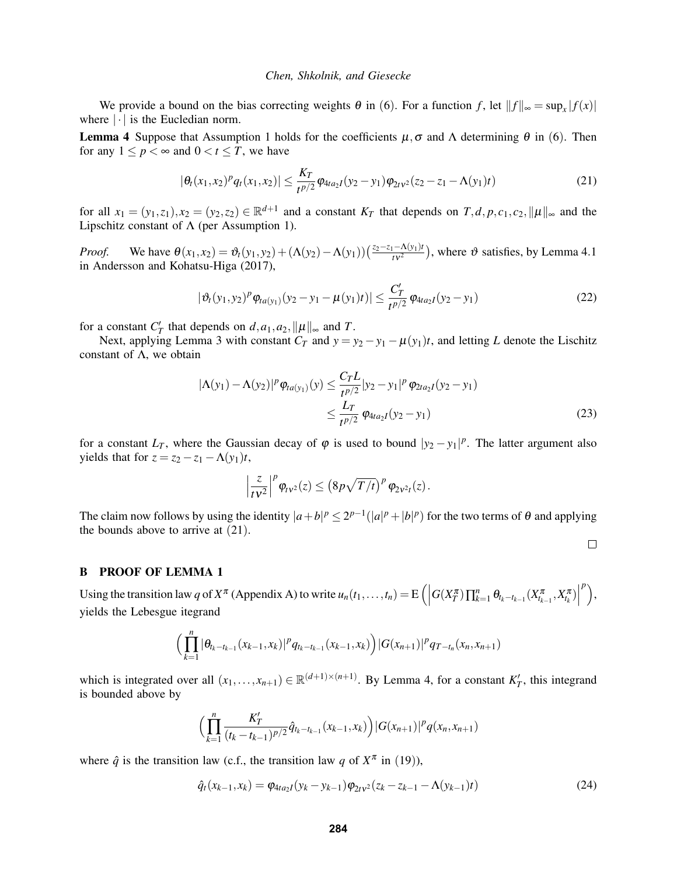We provide a bound on the bias correcting weights  $\theta$  in ([6](#page-2-4)). For a function *f*, let  $||f||_{\infty} = \sup_x |f(x)|$ where  $|\cdot|$  is the Eucledian norm.

<span id="page-7-1"></span>**Lemma 4** Suppose that Assumption [1](#page-2-1) holds for the coefficients  $\mu$ ,  $\sigma$  and  $\Lambda$  determining  $\theta$  in ([6](#page-2-4)). Then for any  $1 \le p < \infty$  and  $0 < t \le T$ , we have

$$
|\theta_t(x_1,x_2)^p q_t(x_1,x_2)| \leq \frac{K_T}{t^{p/2}} \varphi_{4ta_2I}(y_2-y_1) \varphi_{2t^{p/2}}(z_2-z_1-\Lambda(y_1)t)
$$
\n(21)

for all  $x_1 = (y_1, z_1), x_2 = (y_2, z_2) \in \mathbb{R}^{d+1}$  and a constant  $K_T$  that depends on  $T, d, p, c_1, c_2, \|\mu\|_{\infty}$  and the Lipschitz constant of  $\Lambda$  (per Assumption [1\)](#page-2-1).

*Proof.* We have  $\theta(x_1, x_2) = \vartheta_t(y_1, y_2) + (\Lambda(y_2) - \Lambda(y_1))\left(\frac{z_2 - z_1 - \Lambda(y_1)t}{t v^2}\right)$ , where  $\vartheta$  satisfies, by Lemma 4.1 in [Andersson and Kohatsu-Higa \(2017\),](#page-10-2)

$$
|\vartheta_t(y_1, y_2)^p \varphi_{ta(y_1)}(y_2 - y_1 - \mu(y_1)t)| \le \frac{C'_T}{t^{p/2}} \varphi_{4ta_2I}(y_2 - y_1)
$$
\n(22)

for a constant  $C_T'$  that depends on  $d, a_1, a_2, \|\mu\|_{\infty}$  and *T*.

Next, applying Lemma [3](#page-6-2) with constant  $C_T$  and  $y = y_2 - y_1 - \mu(y_1)t$ , and letting *L* denote the Lischitz constant of  $\Lambda$ , we obtain

$$
|\Lambda(y_1) - \Lambda(y_2)|^p \varphi_{ta(y_1)}(y) \le \frac{C_T L}{t^{p/2}} |y_2 - y_1|^p \varphi_{2ta_2I}(y_2 - y_1)
$$
  
 
$$
\le \frac{L_T}{t^{p/2}} \varphi_{4ta_2I}(y_2 - y_1)
$$
 (23)

<span id="page-7-3"></span><span id="page-7-2"></span><span id="page-7-0"></span> $\Box$ 

for a constant  $L_T$ , where the Gaussian decay of  $\varphi$  is used to bound  $|y_2 - y_1|^p$ . The latter argument also yields that for  $z = z_2 - z_1 - \Lambda(y_1)t$ ,

$$
\left|\frac{z}{t v^2}\right|^p \varphi_{t v^2}(z) \leq \left(8p \sqrt{T/t}\right)^p \varphi_{2 v^2 t}(z).
$$

The claim now follows by using the identity  $|a+b|^p \le 2^{p-1}(|a|^p + |b|^p)$  for the two terms of  $\theta$  and applying the bounds above to arrive at  $(21)$  $(21)$  $(21)$ .

## B PROOF OF LEMMA [1](#page-3-5)

Using the transition law *q* of  $X^{\pi}$  (Appendix [A\)](#page-6-3) to write  $u_n(t_1,...,t_n) = E\left(\right)$  $G(X_T^\pi) \prod_{k=1}^n \theta_{t_k-t_{k-1}} (X_{t_{k-1}}^\pi, X_{t_k}^\pi) \bigg|$ *p* , yields the Lebesgue itegrand

$$
\Big(\prod_{k=1}^n |\theta_{t_k-t_{k-1}}(x_{k-1},x_k)|^p q_{t_k-t_{k-1}}(x_{k-1},x_k)\Big)|G(x_{n+1})|^p q_{T-t_n}(x_n,x_{n+1})
$$

which is integrated over all  $(x_1,...,x_{n+1}) \in \mathbb{R}^{(d+1)\times(n+1)}$ . By Lemma [4,](#page-7-1) for a constant  $K'_T$ , this integrand is bounded above by

$$
\Big(\prod_{k=1}^n \frac{K'_T}{(t_k-t_{k-1})^{p/2}}\hat{q}_{t_k-t_{k-1}}(x_{k-1},x_k)\Big)|G(x_{n+1})|^p q(x_n,x_{n+1})
$$

where  $\hat{q}$  is the transition law (c.f., the transition law q of  $X^{\pi}$  in ([19](#page-6-4))),

$$
\hat{q}_t(x_{k-1},x_k) = \varphi_{4ta_2I}(y_k - y_{k-1})\varphi_{2t}^{2t_2}(z_k - z_{k-1} - \Lambda(y_{k-1})t)
$$
\n(24)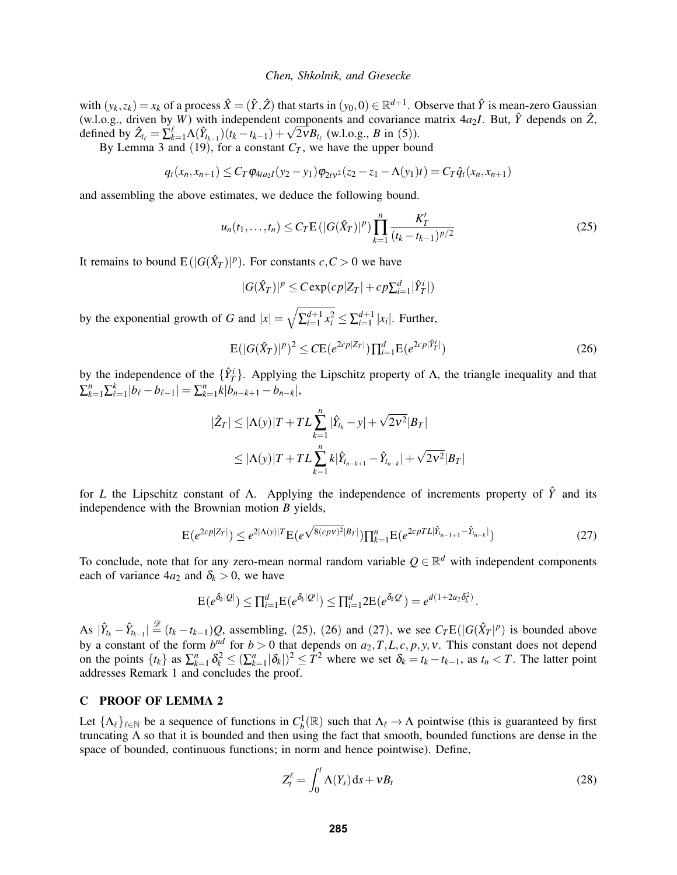with  $(y_k, z_k) = x_k$  of a process  $\hat{X} = (\hat{Y}, \hat{Z})$  that starts in  $(y_0, 0) \in \mathbb{R}^{d+1}$ . Observe that  $\hat{Y}$  is mean-zero Gaussian (w.l.o.g., driven by *W*) with independent components and covariance matrix  $4a_2I$ . But,  $\hat{Y}$  depends on  $\hat{Z}$ , (w.l.o.g., driven by *W*) with independent components and covariance defined by  $\hat{Z}_{t_\ell} = \sum_{k=1}^{\ell} \Lambda(\hat{Y}_{t_{k-1}})(t_k - t_{k-1}) + \sqrt{2v} B_{t_\ell}$  (w.l.o.g., *B* in ([5](#page-2-6))).

By Lemma [3](#page-6-2) and ([19](#page-6-4)), for a constant  $C_T$ , we have the upper bound

$$
q_t(x_n,x_{n+1}) \leq C_T \varphi_{4ta_2I}(y_2-y_1)\varphi_{2t}^{2t_2}(z_2-z_1-\Lambda(y_1)t) = C_T \hat{q}_t(x_n,x_{n+1})
$$

and assembling the above estimates, we deduce the following bound.

$$
u_n(t_1,\ldots,t_n) \le C_T \mathbb{E} \left( |G(\hat{X}_T)|^p \right) \prod_{k=1}^n \frac{K'_T}{(t_k - t_{k-1})^{p/2}}
$$
(25)

It remains to bound  $E(|G(\hat{X}_T)|^p)$ . For constants  $c, C > 0$  we have

<span id="page-8-1"></span><span id="page-8-0"></span>
$$
|G(\hat{X}_T)|^p \leq C \exp(c_p |Z_T| + c_p \sum_{i=1}^d |\hat{Y}_T^i|)
$$

by the exponential growth of *G* and  $|x| = \sqrt{\sum_{i=1}^{d+1} x_i^2} \le \sum_{i=1}^{d+1} |x_i|$ . Further,

$$
E(|G(\hat{X}_T)|^p)^2 \leq CE(e^{2cp|Z_T|})\prod_{i=1}^d E(e^{2cp|\hat{Y}_T^i|})
$$
\n(26)

by the independence of the  $\{\hat{Y}_T^i\}$ . Applying the Lipschitz property of  $\Lambda$ , the triangle inequality and that  $\sum_{k=1}^{n} \sum_{\ell=1}^{k} |b_{\ell} - b_{\ell-1}| = \sum_{k=1}^{n} k |b_{n-k+1} - b_{n-k}|,$ 

$$
|\hat{Z}_T| \le |\Lambda(y)|T + TL \sum_{k=1}^n |\hat{Y}_{t_k} - y| + \sqrt{2v^2} |B_T|
$$
  

$$
\le |\Lambda(y)|T + TL \sum_{k=1}^n k|\hat{Y}_{t_{n-k+1}} - \hat{Y}_{t_{n-k}}| + \sqrt{2v^2} |B_T|
$$

for *L* the Lipschitz constant of Λ. Applying the independence of increments property of *Y*ˆ and its independence with the Brownian motion *B* yields,

$$
E(e^{2cp|Z_T|}) \leq e^{2|\Lambda(y)|T} E(e^{\sqrt{8(cpv)^2}|B_T|}) \prod_{k=1}^n E(e^{2cpTL|\hat{Y}_{t_{n-1+1}} - \hat{Y}_{t_{n-k}}|})
$$
\n(27)

To conclude, note that for any zero-mean normal random variable  $Q \in \mathbb{R}^d$  with independent components each of variance  $4a_2$  and  $\delta_k > 0$ , we have

$$
\mathrm{E}(e^{\delta_k|Q|}) \leq \prod_{i=1}^d \mathrm{E}(e^{\delta_k|Q^i|}) \leq \prod_{i=1}^d 2\mathrm{E}(e^{\delta_kQ^i}) = e^{d(1+2a_2\delta_k^2)}.
$$

As  $|\hat{Y}_{t_k} - \hat{Y}_{t_{k-1}}| \stackrel{\mathcal{D}}{=} (t_k - t_{k-1})Q$ , assembling, ([25](#page-8-0)), ([26](#page-8-1)) and ([27](#page-8-2)), we see  $C_T \mathbb{E}(|G(\hat{X}_T|^p))$  is bounded above by a constant of the form  $b^{nd}$  for  $b > 0$  that depends on  $a_2, T, L, c, p, y, v$ . This constant does not depend on the points  $\{t_k\}$  as  $\sum_{k=1}^n \delta_k^2 \leq (\sum_{k=1}^n |\delta_k|)^2 \leq T^2$  where we set  $\delta_k = t_k - t_{k-1}$ , as  $t_n < T$ . The latter point addresses Remark [1](#page-3-6) and concludes the proof.

## C PROOF OF LEMMA [2](#page-4-1)

Let  $\{\Lambda_\ell\}_{\ell \in \mathbb{N}}$  be a sequence of functions in  $C_b^1(\mathbb{R})$  such that  $\Lambda_\ell \to \Lambda$  pointwise (this is guaranteed by first truncating  $\Lambda$  so that it is bounded and then using the fact that smooth, bounded functions are dense in the space of bounded, continuous functions; in norm and hence pointwise). Define,

<span id="page-8-2"></span>
$$
Z_t^{\ell} = \int_0^t \Lambda(Y_s) \, \mathrm{d} s + v B_t \tag{28}
$$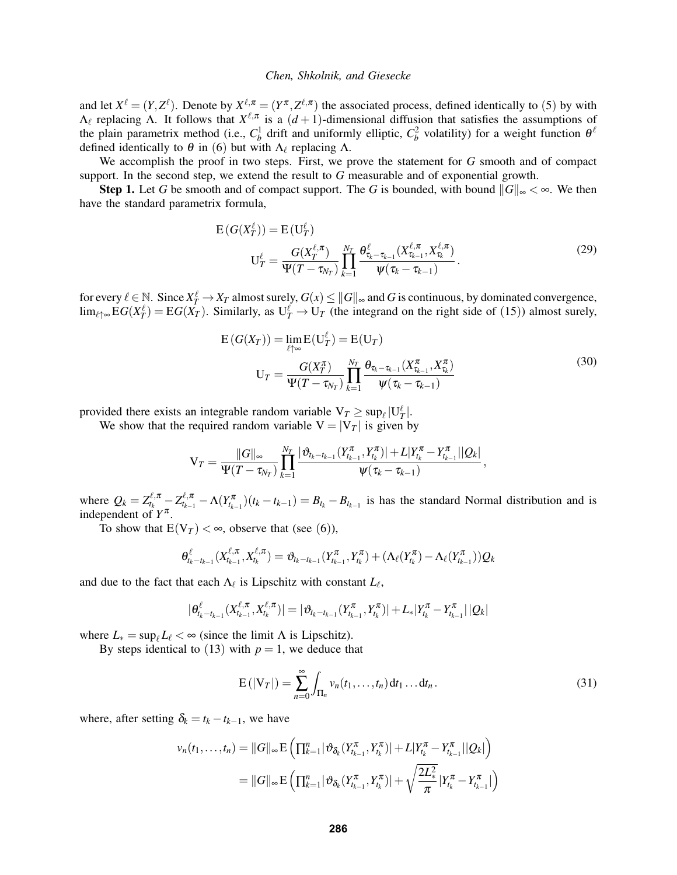and let  $X^{\ell} = (Y, Z^{\ell})$ . Denote by  $X^{\ell, \pi} = (Y^{\pi}, Z^{\ell, \pi})$  the associated process, defined identically to ([5](#page-2-6)) by with  $\Lambda_{\ell}$  replacing  $\Lambda$ . It follows that  $X^{\ell,\pi}$  is a  $(d+1)$ -dimensional diffusion that satisfies the assumptions of the plain parametrix method (i.e.,  $C_b^1$  drift and uniformly elliptic,  $C_b^2$  volatility) for a weight function  $\theta^{\ell}$ defined identically to  $\theta$  in ([6](#page-2-4)) but with  $\Lambda_{\ell}$  replacing  $\Lambda$ .

We accomplish the proof in two steps. First, we prove the statement for *G* smooth and of compact support. In the second step, we extend the result to *G* measurable and of exponential growth.

Step 1. Let *G* be smooth and of compact support. The *G* is bounded, with bound  $||G||_{\infty} < \infty$ . We then have the standard parametrix formula,

$$
E(G(X_T^{\ell})) = E(U_T^{\ell})
$$
  
\n
$$
U_T^{\ell} = \frac{G(X_T^{\ell,\pi})}{\Psi(T - \tau_{N_T})} \prod_{k=1}^{N_T} \frac{\theta_{\tau_k - \tau_{k-1}}^{\ell}(X_{\tau_{k-1}}^{\ell,\pi}, X_{\tau_k}^{\ell,\pi})}{\psi(\tau_k - \tau_{k-1})}.
$$
\n(29)

for every  $\ell \in \mathbb{N}$ . Since  $X_T^{\ell} \to X_T$  almost surely,  $G(x) \leq ||G||_{\infty}$  and  $G$  is continuous, by dominated convergence,  $\lim_{\ell \uparrow \infty} EG(X_T^{\ell}) = EG(X_T)$ . Similarly, as  $U_T^{\ell} \to U_T$  (the integrand on the right side of ([15](#page-4-3))) almost surely,

<span id="page-9-1"></span>
$$
E(G(X_T)) = \lim_{\ell \uparrow \infty} E(U_T^{\ell}) = E(U_T)
$$
  

$$
U_T = \frac{G(X_T^{\pi})}{\Psi(T - \tau_{N_T})} \prod_{k=1}^{N_T} \frac{\theta_{\tau_k - \tau_{k-1}}(X_{\tau_{k-1}}^{\pi}, X_{\tau_k}^{\pi})}{\Psi(\tau_k - \tau_{k-1})}
$$
(30)

provided there exists an integrable random variable  $V_T \ge \sup_{\ell} |U_T^{\ell}|$ .

We show that the required random variable  $V = |V_T|$  is given by

$$
V_T = \frac{\|G\|_{\infty}}{\Psi(T - \tau_{N_T})} \prod_{k=1}^{N_T} \frac{|\vartheta_{t_k - t_{k-1}}(Y_{t_{k-1}}^\pi, Y_{t_k}^\pi)| + L|Y_{t_k}^\pi - Y_{t_{k-1}}^\pi||Q_k|}{\Psi(\tau_k - \tau_{k-1})},
$$

where  $Q_k = Z_{t_k}^{\ell,\pi} - Z_{t_{k-1}}^{\ell,\pi} - \Lambda(Y_{t_{k-1}}^{\pi}) (t_k - t_{k-1}) = B_{t_k} - B_{t_{k-1}}$  is has the standard Normal distribution and is independent of  $Y^{\pi}$ .

To show that  $E(V_T) < \infty$ , observe that (see ([6](#page-2-4))),

$$
\theta_{t_{k}-t_{k-1}}^{\ell}(X_{t_{k-1}}^{\ell,\pi},X_{t_{k}}^{\ell,\pi})=\vartheta_{t_{k}-t_{k-1}}(Y_{t_{k-1}}^{\pi},Y_{t_{k}}^{\pi})+(\Lambda_{\ell}(Y_{t_{k}}^{\pi})-\Lambda_{\ell}(Y_{t_{k-1}}^{\pi}))Q_{k}
$$

and due to the fact that each  $\Lambda_{\ell}$  is Lipschitz with constant  $L_{\ell}$ ,

$$
|\theta_{t_k-t_{k-1}}^{\ell}(X^{\ell,\pi}_{t_{k-1}},X^{\ell,\pi}_{t_k})|=|\vartheta_{t_k-t_{k-1}}(Y^{\pi}_{t_{k-1}},Y^{\pi}_{t_k})|+L_*|Y^{\pi}_{t_k}-Y^{\pi}_{t_{k-1}}||Q_k|
$$

where  $L_* = \sup_{\ell} L_{\ell} < \infty$  (since the limit  $\Lambda$  is Lipschitz).

By steps identical to ([13](#page-4-4)) with  $p = 1$ , we deduce that

<span id="page-9-0"></span>
$$
E(|V_T|) = \sum_{n=0}^{\infty} \int_{\Pi_n} v_n(t_1,\ldots,t_n) dt_1 \ldots dt_n.
$$
 (31)

where, after setting  $\delta_k = t_k - t_{k-1}$ , we have

$$
v_n(t_1,\ldots,t_n) = ||G||_{\infty} E\left(\prod_{k=1}^n |\vartheta_{\delta_k}(Y_{t_{k-1}}^{\pi},Y_{t_k}^{\pi})| + L|Y_{t_k}^{\pi} - Y_{t_{k-1}}^{\pi}||Q_k|\right)
$$
  
=  $||G||_{\infty} E\left(\prod_{k=1}^n |\vartheta_{\delta_k}(Y_{t_{k-1}}^{\pi},Y_{t_k}^{\pi})| + \sqrt{\frac{2L_*^2}{\pi}}|Y_{t_k}^{\pi} - Y_{t_{k-1}}^{\pi}|\right)$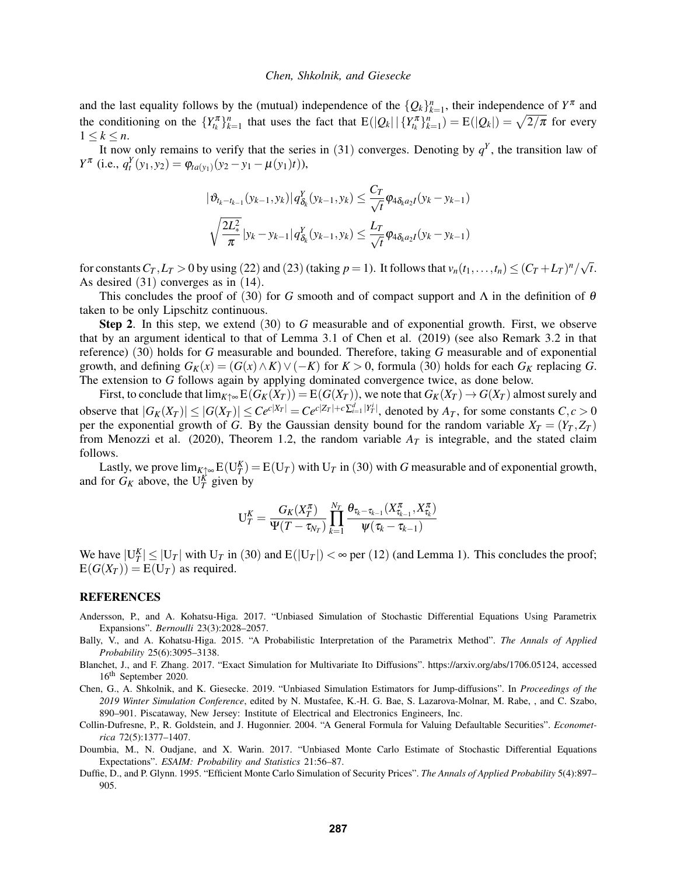and the last equality follows by the (mutual) independence of the  ${Q_k}_{k=1}^n$ , their independence of  $Y^{\pi}$  and the conditioning on the  ${Y_{t_k}^{\pi}}_{k=1}^n$  that uses the fact that  $E(|Q_k| | {Y_{t_k}^{\pi}}_{k=1}^n) = E(|Q_k|) = \sqrt{2/\pi}$  for every  $1 \leq k \leq n$ .

It now only remains to verify that the series in ([31](#page-9-0)) converges. Denoting by  $q<sup>Y</sup>$ , the transition law of *Y*<sup> $\pi$ </sup> (i.e.,  $q_t^Y(y_1, y_2) = \varphi_{ta(y_1)}(y_2 - y_1 - \mu(y_1)t)$ ),

$$
|\vartheta_{t_{k}-t_{k-1}}(y_{k-1},y_{k})|q_{\delta_{k}}^{Y}(y_{k-1},y_{k}) \leq \frac{C_{T}}{\sqrt{t}} \varphi_{4\delta_{k}a_{2}I}(y_{k}-y_{k-1})
$$
  

$$
\sqrt{\frac{2L_{*}^{2}}{\pi}} |y_{k}-y_{k-1}|q_{\delta_{k}}^{Y}(y_{k-1},y_{k}) \leq \frac{L_{T}}{\sqrt{t}} \varphi_{4\delta_{k}a_{2}I}(y_{k}-y_{k-1})
$$

for constants  $C_T$ ,  $L_T > 0$  by using ([22](#page-7-2)) and ([23](#page-7-3)) (taking  $p = 1$ ). It follows that  $v_n(t_1, \ldots, t_n) \le (C_T + L_T)^n / \sqrt{2}$ *t*. As desired ([31](#page-9-0)) converges as in ([14](#page-4-5)).

This concludes the proof of ([30](#page-9-1)) for *G* smooth and of compact support and  $\Lambda$  in the definition of  $\theta$ taken to be only Lipschitz continuous.

Step 2. In this step, we extend ([30](#page-9-1)) to *G* measurable and of exponential growth. First, we observe that by an argument identical to that of Lemma 3.1 of [Chen et al. \(2019\)](#page-10-5) (see also Remark 3.2 in that reference) ([30](#page-9-1)) holds for *G* measurable and bounded. Therefore, taking *G* measurable and of exponential growth, and defining  $G_K(x) = (G(x) \wedge K) \vee (-K)$  for  $K > 0$ , formula ([30](#page-9-1)) holds for each  $G_K$  replacing *G*. The extension to *G* follows again by applying dominated convergence twice, as done below.

First, to conclude that  $\lim_{K \uparrow \infty} E(G_K(X_T)) = E(G(X_T))$ , we note that  $G_K(X_T) \to G(X_T)$  almost surely and observe that  $|G_K(X_T)| \le |G(X_T)| \le C e^{c|X_T|} = C e^{c|Z_T| + c \sum_{i=1}^d |Y_T^i|}$ , denoted by  $A_T$ , for some constants  $C, c > 0$ per the exponential growth of *G*. By the Gaussian density bound for the random variable  $X_T = (Y_T, Z_T)$ from [Menozzi et al. \(2020\),](#page-11-1) Theorem 1.2, the random variable  $A_T$  is integrable, and the stated claim follows.

Lastly, we prove  $\lim_{K \uparrow \infty} E(U_T^K) = E(U_T)$  with  $U_T$  in ([30](#page-9-1)) with *G* measurable and of exponential growth, and for  $G_K$  above, the  $U_T^K$  given by

$$
\textbf{U}^K_T = \frac{G_K(X_T^{\pi})}{\Psi(T-\tau_{N_T})}\prod_{k=1}^{N_T}\frac{\theta_{\tau_k-\tau_{k-1}}(X_{\tau_{k-1}}^{\pi},X_{\tau_k}^{\pi})}{\psi(\tau_k-\tau_{k-1})}
$$

We have  $|U_T^K| \leq |U_T|$  with  $U_T$  in ([30](#page-9-1)) and  $E(|U_T|) < \infty$  per ([12](#page-4-0)) (and Lemma [1\)](#page-3-5). This concludes the proof;  $E(G(X_T)) = E(U_T)$  as required.

### REFERENCES

- <span id="page-10-2"></span>Andersson, P., and A. Kohatsu-Higa. 2017. "Unbiased Simulation of Stochastic Differential Equations Using Parametrix Expansions". *Bernoulli* 23(3):2028–2057.
- <span id="page-10-1"></span>Bally, V., and A. Kohatsu-Higa. 2015. "A Probabilistic Interpretation of the Parametrix Method". *The Annals of Applied Probability* 25(6):3095–3138.
- <span id="page-10-0"></span>Blanchet, J., and F. Zhang. 2017. "Exact Simulation for Multivariate Ito Diffusions". https://arxiv.org/abs/1706.05124, accessed 16th September 2020.
- <span id="page-10-5"></span>Chen, G., A. Shkolnik, and K. Giesecke. 2019. "Unbiased Simulation Estimators for Jump-diffusions". In *Proceedings of the 2019 Winter Simulation Conference*, edited by N. Mustafee, K.-H. G. Bae, S. Lazarova-Molnar, M. Rabe, , and C. Szabo, 890–901. Piscataway, New Jersey: Institute of Electrical and Electronics Engineers, Inc.
- <span id="page-10-4"></span>Collin-Dufresne, P., R. Goldstein, and J. Hugonnier. 2004. "A General Formula for Valuing Defaultable Securities". *Econometrica* 72(5):1377–1407.
- <span id="page-10-3"></span>Doumbia, M., N. Oudjane, and X. Warin. 2017. "Unbiased Monte Carlo Estimate of Stochastic Differential Equations Expectations". *ESAIM: Probability and Statistics* 21:56–87.
- <span id="page-10-6"></span>Duffie, D., and P. Glynn. 1995. "Efficient Monte Carlo Simulation of Security Prices". *The Annals of Applied Probability* 5(4):897– 905.